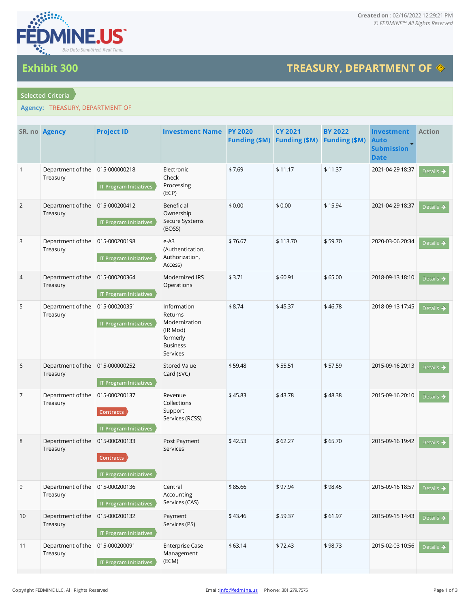

## **TREASURY, DEPARTMENT OF**

## **Selected Criteria**

**Exhibit 300**

## **Agency:** TREASURY, DEPARTMENT OF

|                | SR. no Agency                               | <b>Project ID</b>                                                  | <b>Investment Name PY 2020</b>                                                                 | <b>Funding (\$M)</b> | <b>CY 2021</b><br><b>Funding (\$M)</b> | <b>BY 2022</b><br><b>Funding (\$M)</b> | Investment<br><b>Auto</b><br><b>Submission</b><br><b>Date</b> | <b>Action</b>         |
|----------------|---------------------------------------------|--------------------------------------------------------------------|------------------------------------------------------------------------------------------------|----------------------|----------------------------------------|----------------------------------------|---------------------------------------------------------------|-----------------------|
| $\mathbf{1}$   | Department of the<br>Treasury               | 015-000000218<br><b>IT Program Initiatives</b>                     | Electronic<br>Check<br>Processing<br>(ECP)                                                     | \$7.69               | \$11.17                                | \$11.37                                | 2021-04-29 18:37                                              | Details $\rightarrow$ |
| $\overline{2}$ | Department of the<br>Treasury               | 015-000200412<br><b>IT Program Initiatives</b>                     | Beneficial<br>Ownership<br>Secure Systems<br>(BOSS)                                            | \$0.00               | \$0.00                                 | \$15.94                                | 2021-04-29 18:37                                              | Details $\rightarrow$ |
| 3              | Department of the<br>Treasury               | 015-000200198<br><b>IT Program Initiatives</b>                     | $e-A3$<br>(Authentication,<br>Authorization,<br>Access)                                        | \$76.67              | \$113.70                               | \$59.70                                | 2020-03-06 20:34                                              | Details $\rightarrow$ |
| 4              | Department of the<br>Treasury               | 015-000200364<br><b>IT Program Initiatives</b>                     | Modernized IRS<br>Operations                                                                   | \$3.71               | \$60.91                                | \$65.00                                | 2018-09-13 18:10                                              | Details $\rightarrow$ |
| 5              | Department of the<br>Treasury               | 015-000200351<br><b>IT Program Initiatives</b>                     | Information<br>Returns<br>Modernization<br>(IR Mod)<br>formerly<br><b>Business</b><br>Services | \$8.74               | \$45.37                                | \$46.78                                | 2018-09-13 17:45                                              | Details $\rightarrow$ |
| 6              | Department of the 015-000000252<br>Treasury | <b>IT Program Initiatives</b>                                      | <b>Stored Value</b><br>Card (SVC)                                                              | \$59.48              | \$55.51                                | \$57.59                                | 2015-09-16 20:13                                              | Details $\rightarrow$ |
| $\overline{7}$ | Department of the<br>Treasury               | 015-000200137<br><b>Contracts</b><br><b>IT Program Initiatives</b> | Revenue<br>Collections<br>Support<br>Services (RCSS)                                           | \$45.83              | \$43.78                                | \$48.38                                | 2015-09-16 20:10                                              | Details $\rightarrow$ |
| 8              | Department of the<br>Treasury               | 015-000200133<br>Contracts<br><b>IT Program Initiatives</b>        | Post Payment<br>Services                                                                       | \$42.53              | \$62.27                                | \$65.70                                | 2015-09-16 19:42                                              | Details $\rightarrow$ |
| 9              | Department of the<br>Treasury               | 015-000200136<br><b>IT Program Initiatives</b>                     | Central<br>Accounting<br>Services (CAS)                                                        | \$85.66              | \$97.94                                | \$98.45                                | 2015-09-16 18:57                                              | Details $\rightarrow$ |
| 10             | Department of the<br>Treasury               | 015-000200132<br><b>IT Program Initiatives</b>                     | Payment<br>Services (PS)                                                                       | \$43.46              | \$59.37                                | \$61.97                                | 2015-09-15 14:43                                              | Details $\rightarrow$ |
| 11             | Department of the<br>Treasury               | 015-000200091<br><b>IT Program Initiatives</b>                     | <b>Enterprise Case</b><br>Management<br>(ECM)                                                  | \$63.14              | \$72.43                                | \$98.73                                | 2015-02-03 10:56                                              | Details $\rightarrow$ |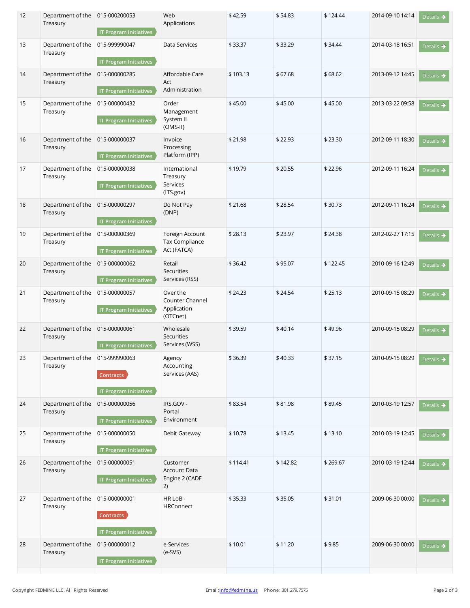| 12 | Department of the<br>Treasury | 015-000200053<br><b>IT Program Initiatives</b>                     | Web<br>Applications                                     | \$42.59  | \$54.83  | \$124.44 | 2014-09-10 14:14 | Details $\rightarrow$ |
|----|-------------------------------|--------------------------------------------------------------------|---------------------------------------------------------|----------|----------|----------|------------------|-----------------------|
| 13 | Department of the<br>Treasury | 015-999990047<br><b>IT Program Initiatives</b>                     | Data Services                                           | \$33.37  | \$33.29  | \$34.44  | 2014-03-18 16:51 | Details $\rightarrow$ |
| 14 | Department of the<br>Treasury | 015-000000285<br>IT Program Initiatives                            | Affordable Care<br>Act<br>Administration                | \$103.13 | \$67.68  | \$68.62  | 2013-09-12 14:45 | Details $\rightarrow$ |
| 15 | Department of the<br>Treasury | 015-000000432<br><b>IT Program Initiatives</b>                     | Order<br>Management<br>System II<br>$(OMS-II)$          | \$45.00  | \$45.00  | \$45.00  | 2013-03-22 09:58 | Details $\rightarrow$ |
| 16 | Department of the<br>Treasury | 015-000000037<br>IT Program Initiatives                            | Invoice<br>Processing<br>Platform (IPP)                 | \$21.98  | \$22.93  | \$23.30  | 2012-09-11 18:30 | Details $\rightarrow$ |
| 17 | Department of the<br>Treasury | 015-000000038<br><b>IT Program Initiatives</b>                     | International<br>Treasury<br>Services<br>(ITS.gov)      | \$19.79  | \$20.55  | \$22.96  | 2012-09-11 16:24 | Details $\rightarrow$ |
| 18 | Department of the<br>Treasury | 015-000000297<br><b>IT Program Initiatives</b>                     | Do Not Pay<br>(DNP)                                     | \$21.68  | \$28.54  | \$30.73  | 2012-09-11 16:24 | Details $\rightarrow$ |
| 19 | Department of the<br>Treasury | 015-000000369<br>IT Program Initiatives                            | Foreign Account<br>Tax Compliance<br>Act (FATCA)        | \$28.13  | \$23.97  | \$24.38  | 2012-02-27 17:15 | Details $\rightarrow$ |
| 20 | Department of the<br>Treasury | 015-000000062<br><b>IT Program Initiatives</b>                     | Retail<br><b>Securities</b><br>Services (RSS)           | \$36.42  | \$95.07  | \$122.45 | 2010-09-16 12:49 | Details $\rightarrow$ |
| 21 | Department of the<br>Treasury | 015-000000057<br><b>IT Program Initiatives</b>                     | Over the<br>Counter Channel<br>Application<br>(OTCnet)  | \$24.23  | \$24.54  | \$25.13  | 2010-09-15 08:29 | Details $\rightarrow$ |
| 22 | Department of the<br>Treasury | 015-000000061<br><b>IT Program Initiatives</b>                     | Wholesale<br><b>Securities</b><br>Services (WSS)        | \$39.59  | \$40.14  | \$49.96  | 2010-09-15 08:29 | Details $\rightarrow$ |
| 23 | Department of the<br>Treasury | 015-999990063<br><b>Contracts</b><br><b>IT Program Initiatives</b> | Agency<br>Accounting<br>Services (AAS)                  | \$36.39  | \$40.33  | \$37.15  | 2010-09-15 08:29 | Details $\rightarrow$ |
| 24 | Department of the<br>Treasury | 015-000000056<br>IT Program Initiatives                            | IRS.GOV -<br>Portal<br>Environment                      | \$83.54  | \$81.98  | \$89.45  | 2010-03-19 12:57 | Details $\rightarrow$ |
| 25 | Department of the<br>Treasury | 015-000000050<br><b>IT Program Initiatives</b>                     | Debit Gateway                                           | \$10.78  | \$13.45  | \$13.10  | 2010-03-19 12:45 | Details $\rightarrow$ |
| 26 | Department of the<br>Treasury | 015-000000051<br>IT Program Initiatives                            | Customer<br><b>Account Data</b><br>Engine 2 (CADE<br>2) | \$114.41 | \$142.82 | \$269.67 | 2010-03-19 12:44 | Details $\rightarrow$ |
| 27 | Department of the<br>Treasury | 015-000000001<br>Contracts<br>IT Program Initiatives               | HR LoB-<br><b>HRConnect</b>                             | \$35.33  | \$35.05  | \$31.01  | 2009-06-30 00:00 | Details $\rightarrow$ |
| 28 | Department of the<br>Treasury | 015-000000012<br><b>IT Program Initiatives</b>                     | e-Services<br>$(e-SVS)$                                 | \$10.01  | \$11.20  | \$9.85   | 2009-06-30 00:00 | Details $\rightarrow$ |